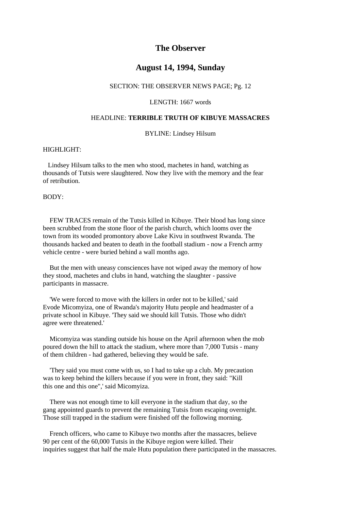# **The Observer**

## **August 14, 1994, Sunday**

#### SECTION: THE OBSERVER NEWS PAGE; Pg. 12

#### LENGTH: 1667 words

## HEADLINE: **TERRIBLE TRUTH OF KIBUYE MASSACRES**

#### BYLINE: Lindsey Hilsum

## HIGHLIGHT:

 Lindsey Hilsum talks to the men who stood, machetes in hand, watching as thousands of Tutsis were slaughtered. Now they live with the memory and the fear of retribution.

## BODY:

 FEW TRACES remain of the Tutsis killed in Kibuye. Their blood has long since been scrubbed from the stone floor of the parish church, which looms over the town from its wooded promontory above Lake Kivu in southwest Rwanda. The thousands hacked and beaten to death in the football stadium - now a French army vehicle centre - were buried behind a wall months ago.

 But the men with uneasy consciences have not wiped away the memory of how they stood, machetes and clubs in hand, watching the slaughter - passive participants in massacre.

 'We were forced to move with the killers in order not to be killed,' said Evode Micomyiza, one of Rwanda's majority Hutu people and headmaster of a private school in Kibuye. 'They said we should kill Tutsis. Those who didn't agree were threatened.'

 Micomyiza was standing outside his house on the April afternoon when the mob poured down the hill to attack the stadium, where more than 7,000 Tutsis - many of them children - had gathered, believing they would be safe.

 'They said you must come with us, so I had to take up a club. My precaution was to keep behind the killers because if you were in front, they said: "Kill this one and this one",' said Micomyiza.

 There was not enough time to kill everyone in the stadium that day, so the gang appointed guards to prevent the remaining Tutsis from escaping overnight. Those still trapped in the stadium were finished off the following morning.

 French officers, who came to Kibuye two months after the massacres, believe 90 per cent of the 60,000 Tutsis in the Kibuye region were killed. Their inquiries suggest that half the male Hutu population there participated in the massacres.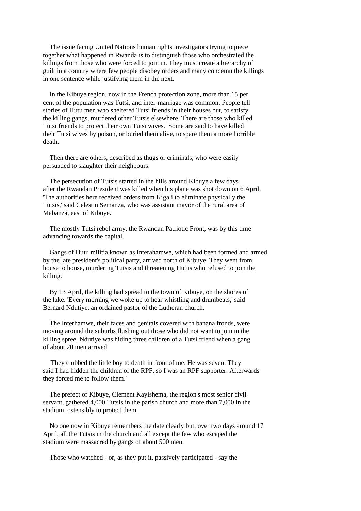The issue facing United Nations human rights investigators trying to piece together what happened in Rwanda is to distinguish those who orchestrated the killings from those who were forced to join in. They must create a hierarchy of guilt in a country where few people disobey orders and many condemn the killings in one sentence while justifying them in the next.

 In the Kibuye region, now in the French protection zone, more than 15 per cent of the population was Tutsi, and inter-marriage was common. People tell stories of Hutu men who sheltered Tutsi friends in their houses but, to satisfy the killing gangs, murdered other Tutsis elsewhere. There are those who killed Tutsi friends to protect their own Tutsi wives. Some are said to have killed their Tutsi wives by poison, or buried them alive, to spare them a more horrible death.

 Then there are others, described as thugs or criminals, who were easily persuaded to slaughter their neighbours.

 The persecution of Tutsis started in the hills around Kibuye a few days after the Rwandan President was killed when his plane was shot down on 6 April. 'The authorities here received orders from Kigali to eliminate physically the Tutsis,' said Celestin Semanza, who was assistant mayor of the rural area of Mabanza, east of Kibuye.

 The mostly Tutsi rebel army, the Rwandan Patriotic Front, was by this time advancing towards the capital.

 Gangs of Hutu militia known as Interahamwe, which had been formed and armed by the late president's political party, arrived north of Kibuye. They went from house to house, murdering Tutsis and threatening Hutus who refused to join the killing.

 By 13 April, the killing had spread to the town of Kibuye, on the shores of the lake. 'Every morning we woke up to hear whistling and drumbeats,' said Bernard Ndutiye, an ordained pastor of the Lutheran church.

 The Interhamwe, their faces and genitals covered with banana fronds, were moving around the suburbs flushing out those who did not want to join in the killing spree. Ndutiye was hiding three children of a Tutsi friend when a gang of about 20 men arrived.

 'They clubbed the little boy to death in front of me. He was seven. They said I had hidden the children of the RPF, so I was an RPF supporter. Afterwards they forced me to follow them.'

 The prefect of Kibuye, Clement Kayishema, the region's most senior civil servant, gathered 4,000 Tutsis in the parish church and more than 7,000 in the stadium, ostensibly to protect them.

 No one now in Kibuye remembers the date clearly but, over two days around 17 April, all the Tutsis in the church and all except the few who escaped the stadium were massacred by gangs of about 500 men.

Those who watched - or, as they put it, passively participated - say the